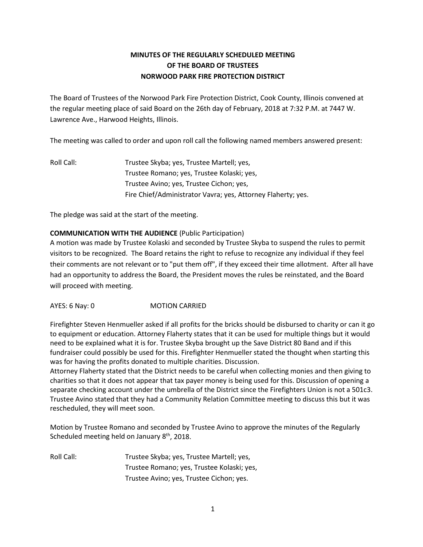# **MINUTES OF THE REGULARLY SCHEDULED MEETING OF THE BOARD OF TRUSTEES NORWOOD PARK FIRE PROTECTION DISTRICT**

The Board of Trustees of the Norwood Park Fire Protection District, Cook County, Illinois convened at the regular meeting place of said Board on the 26th day of February, 2018 at 7:32 P.M. at 7447 W. Lawrence Ave., Harwood Heights, Illinois.

The meeting was called to order and upon roll call the following named members answered present:

Roll Call: Trustee Skyba; yes, Trustee Martell; yes, Trustee Romano; yes, Trustee Kolaski; yes, Trustee Avino; yes, Trustee Cichon; yes, Fire Chief/Administrator Vavra; yes, Attorney Flaherty; yes.

The pledge was said at the start of the meeting.

# **COMMUNICATION WITH THE AUDIENCE** (Public Participation)

A motion was made by Trustee Kolaski and seconded by Trustee Skyba to suspend the rules to permit visitors to be recognized. The Board retains the right to refuse to recognize any individual if they feel their comments are not relevant or to "put them off", if they exceed their time allotment. After all have had an opportunity to address the Board, the President moves the rules be reinstated, and the Board will proceed with meeting.

AYES: 6 Nay: 0 MOTION CARRIED

Firefighter Steven Henmueller asked if all profits for the bricks should be disbursed to charity or can it go to equipment or education. Attorney Flaherty states that it can be used for multiple things but it would need to be explained what it is for. Trustee Skyba brought up the Save District 80 Band and if this fundraiser could possibly be used for this. Firefighter Henmueller stated the thought when starting this was for having the profits donated to multiple charities. Discussion.

Attorney Flaherty stated that the District needs to be careful when collecting monies and then giving to charities so that it does not appear that tax payer money is being used for this. Discussion of opening a separate checking account under the umbrella of the District since the Firefighters Union is not a 501c3. Trustee Avino stated that they had a Community Relation Committee meeting to discuss this but it was rescheduled, they will meet soon.

Motion by Trustee Romano and seconded by Trustee Avino to approve the minutes of the Regularly Scheduled meeting held on January 8<sup>th</sup>, 2018.

Roll Call: Trustee Skyba; yes, Trustee Martell; yes, Trustee Romano; yes, Trustee Kolaski; yes, Trustee Avino; yes, Trustee Cichon; yes.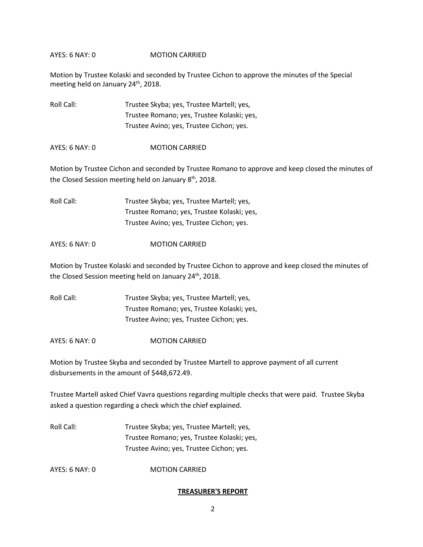Motion by Trustee Kolaski and seconded by Trustee Cichon to approve the minutes of the Special meeting held on January 24<sup>th</sup>, 2018.

| Roll Call: | Trustee Skyba; yes, Trustee Martell; yes,  |
|------------|--------------------------------------------|
|            | Trustee Romano; yes, Trustee Kolaski; yes, |
|            | Trustee Avino; yes, Trustee Cichon; yes.   |

AYES: 6 NAY: 0 MOTION CARRIED

Motion by Trustee Cichon and seconded by Trustee Romano to approve and keep closed the minutes of the Closed Session meeting held on January 8<sup>th</sup>, 2018.

Roll Call: Trustee Skyba; yes, Trustee Martell; yes, Trustee Romano; yes, Trustee Kolaski; yes, Trustee Avino; yes, Trustee Cichon; yes.

#### AYES: 6 NAY: 0 MOTION CARRIED

Motion by Trustee Kolaski and seconded by Trustee Cichon to approve and keep closed the minutes of the Closed Session meeting held on January 24<sup>th</sup>, 2018.

Roll Call: Trustee Skyba; yes, Trustee Martell; yes, Trustee Romano; yes, Trustee Kolaski; yes, Trustee Avino; yes, Trustee Cichon; yes.

AYES: 6 NAY: 0 **MOTION CARRIED** 

Motion by Trustee Skyba and seconded by Trustee Martell to approve payment of all current disbursements in the amount of \$448,672.49.

Trustee Martell asked Chief Vavra questions regarding multiple checks that were paid. Trustee Skyba asked a question regarding a check which the chief explained.

Roll Call: Trustee Skyba; yes, Trustee Martell; yes, Trustee Romano; yes, Trustee Kolaski; yes, Trustee Avino; yes, Trustee Cichon; yes.

AYES: 6 NAY: 0 MOTION CARRIED

#### **TREASURER'S REPORT**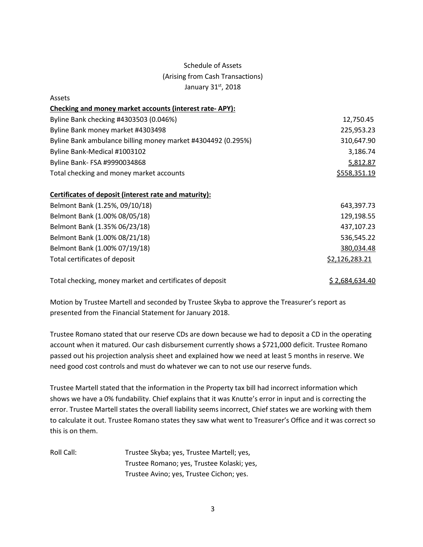# Schedule of Assets (Arising from Cash Transactions) January 31st, 2018

Assets

| ASSELS                                                       |                |
|--------------------------------------------------------------|----------------|
| Checking and money market accounts (interest rate-APY):      |                |
| Byline Bank checking #4303503 (0.046%)                       | 12,750.45      |
| Byline Bank money market #4303498                            | 225,953.23     |
| Byline Bank ambulance billing money market #4304492 (0.295%) | 310,647.90     |
| Byline Bank-Medical #1003102                                 | 3,186.74       |
| Byline Bank- FSA #9990034868                                 | 5,812.87       |
| Total checking and money market accounts                     | \$558,351.19   |
| Certificates of deposit (interest rate and maturity):        |                |
| Belmont Bank (1.25%, 09/10/18)                               | 643,397.73     |
| Belmont Bank (1.00% 08/05/18)                                | 129,198.55     |
| Belmont Bank (1.35% 06/23/18)                                | 437,107.23     |
| Belmont Bank (1.00% 08/21/18)                                | 536,545.22     |
| Belmont Bank (1.00% 07/19/18)                                | 380,034.48     |
| Total certificates of deposit                                | \$2,126,283.21 |
| Total checking, money market and certificates of deposit     | \$2,684,634.40 |

Motion by Trustee Martell and seconded by Trustee Skyba to approve the Treasurer's report as presented from the Financial Statement for January 2018.

Trustee Romano stated that our reserve CDs are down because we had to deposit a CD in the operating account when it matured. Our cash disbursement currently shows a \$721,000 deficit. Trustee Romano passed out his projection analysis sheet and explained how we need at least 5 months in reserve. We need good cost controls and must do whatever we can to not use our reserve funds.

Trustee Martell stated that the information in the Property tax bill had incorrect information which shows we have a 0% fundability. Chief explains that it was Knutte's error in input and is correcting the error. Trustee Martell states the overall liability seems incorrect, Chief states we are working with them to calculate it out. Trustee Romano states they saw what went to Treasurer's Office and it was correct so this is on them.

Roll Call: Trustee Skyba; yes, Trustee Martell; yes, Trustee Romano; yes, Trustee Kolaski; yes, Trustee Avino; yes, Trustee Cichon; yes.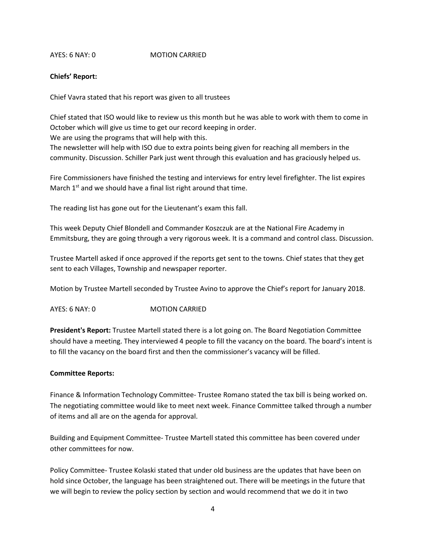## **Chiefs' Report:**

Chief Vavra stated that his report was given to all trustees

Chief stated that ISO would like to review us this month but he was able to work with them to come in October which will give us time to get our record keeping in order.

We are using the programs that will help with this.

The newsletter will help with ISO due to extra points being given for reaching all members in the community. Discussion. Schiller Park just went through this evaluation and has graciously helped us.

Fire Commissioners have finished the testing and interviews for entry level firefighter. The list expires March  $1<sup>st</sup>$  and we should have a final list right around that time.

The reading list has gone out for the Lieutenant's exam this fall.

This week Deputy Chief Blondell and Commander Koszczuk are at the National Fire Academy in Emmitsburg, they are going through a very rigorous week. It is a command and control class. Discussion.

Trustee Martell asked if once approved if the reports get sent to the towns. Chief states that they get sent to each Villages, Township and newspaper reporter.

Motion by Trustee Martell seconded by Trustee Avino to approve the Chief's report for January 2018.

AYES: 6 NAY: 0 MOTION CARRIED

**President's Report:** Trustee Martell stated there is a lot going on. The Board Negotiation Committee should have a meeting. They interviewed 4 people to fill the vacancy on the board. The board's intent is to fill the vacancy on the board first and then the commissioner's vacancy will be filled.

# **Committee Reports:**

Finance & Information Technology Committee- Trustee Romano stated the tax bill is being worked on. The negotiating committee would like to meet next week. Finance Committee talked through a number of items and all are on the agenda for approval.

Building and Equipment Committee- Trustee Martell stated this committee has been covered under other committees for now.

Policy Committee- Trustee Kolaski stated that under old business are the updates that have been on hold since October, the language has been straightened out. There will be meetings in the future that we will begin to review the policy section by section and would recommend that we do it in two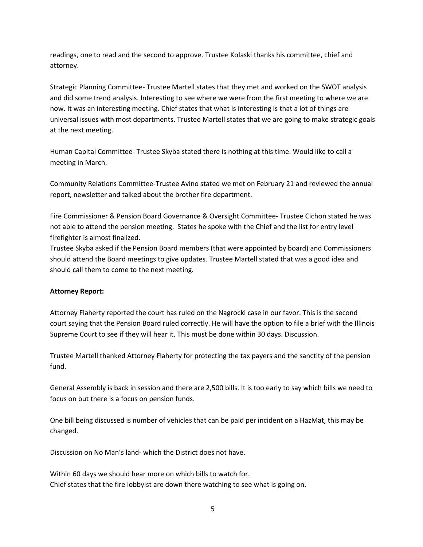readings, one to read and the second to approve. Trustee Kolaski thanks his committee, chief and attorney.

Strategic Planning Committee- Trustee Martell states that they met and worked on the SWOT analysis and did some trend analysis. Interesting to see where we were from the first meeting to where we are now. It was an interesting meeting. Chief states that what is interesting is that a lot of things are universal issues with most departments. Trustee Martell states that we are going to make strategic goals at the next meeting.

Human Capital Committee- Trustee Skyba stated there is nothing at this time. Would like to call a meeting in March.

Community Relations Committee-Trustee Avino stated we met on February 21 and reviewed the annual report, newsletter and talked about the brother fire department.

Fire Commissioner & Pension Board Governance & Oversight Committee- Trustee Cichon stated he was not able to attend the pension meeting. States he spoke with the Chief and the list for entry level firefighter is almost finalized.

Trustee Skyba asked if the Pension Board members (that were appointed by board) and Commissioners should attend the Board meetings to give updates. Trustee Martell stated that was a good idea and should call them to come to the next meeting.

# **Attorney Report:**

Attorney Flaherty reported the court has ruled on the Nagrocki case in our favor. This is the second court saying that the Pension Board ruled correctly. He will have the option to file a brief with the Illinois Supreme Court to see if they will hear it. This must be done within 30 days. Discussion.

Trustee Martell thanked Attorney Flaherty for protecting the tax payers and the sanctity of the pension fund.

General Assembly is back in session and there are 2,500 bills. It is too early to say which bills we need to focus on but there is a focus on pension funds.

One bill being discussed is number of vehicles that can be paid per incident on a HazMat, this may be changed.

Discussion on No Man's land- which the District does not have.

Within 60 days we should hear more on which bills to watch for. Chief states that the fire lobbyist are down there watching to see what is going on.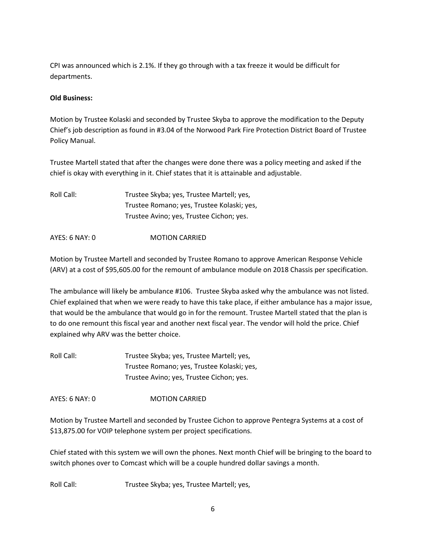CPI was announced which is 2.1%. If they go through with a tax freeze it would be difficult for departments.

## **Old Business:**

Motion by Trustee Kolaski and seconded by Trustee Skyba to approve the modification to the Deputy Chief's job description as found in #3.04 of the Norwood Park Fire Protection District Board of Trustee Policy Manual.

Trustee Martell stated that after the changes were done there was a policy meeting and asked if the chief is okay with everything in it. Chief states that it is attainable and adjustable.

Roll Call: Trustee Skyba; yes, Trustee Martell; yes, Trustee Romano; yes, Trustee Kolaski; yes, Trustee Avino; yes, Trustee Cichon; yes.

AYES: 6 NAY: 0 **MOTION CARRIED** 

Motion by Trustee Martell and seconded by Trustee Romano to approve American Response Vehicle (ARV) at a cost of \$95,605.00 for the remount of ambulance module on 2018 Chassis per specification.

The ambulance will likely be ambulance #106. Trustee Skyba asked why the ambulance was not listed. Chief explained that when we were ready to have this take place, if either ambulance has a major issue, that would be the ambulance that would go in for the remount. Trustee Martell stated that the plan is to do one remount this fiscal year and another next fiscal year. The vendor will hold the price. Chief explained why ARV was the better choice.

Roll Call: Trustee Skyba; yes, Trustee Martell; yes, Trustee Romano; yes, Trustee Kolaski; yes, Trustee Avino; yes, Trustee Cichon; yes.

AYES: 6 NAY: 0 MOTION CARRIED

Motion by Trustee Martell and seconded by Trustee Cichon to approve Pentegra Systems at a cost of \$13,875.00 for VOIP telephone system per project specifications.

Chief stated with this system we will own the phones. Next month Chief will be bringing to the board to switch phones over to Comcast which will be a couple hundred dollar savings a month.

Roll Call: Trustee Skyba; yes, Trustee Martell; yes,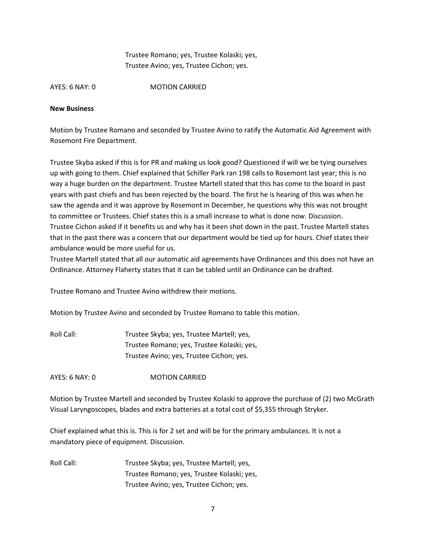Trustee Romano; yes, Trustee Kolaski; yes, Trustee Avino; yes, Trustee Cichon; yes.

AYES: 6 NAY: 0 MOTION CARRIED

## **New Business**

Motion by Trustee Romano and seconded by Trustee Avino to ratify the Automatic Aid Agreement with Rosemont Fire Department.

Trustee Skyba asked if this is for PR and making us look good? Questioned if will we be tying ourselves up with going to them. Chief explained that Schiller Park ran 198 calls to Rosemont last year; this is no way a huge burden on the department. Trustee Martell stated that this has come to the board in past years with past chiefs and has been rejected by the board. The first he is hearing of this was when he saw the agenda and it was approve by Rosemont in December, he questions why this was not brought to committee or Trustees. Chief states this is a small increase to what is done now. Discussion. Trustee Cichon asked if it benefits us and why has it been shot down in the past. Trustee Martell states that in the past there was a concern that our department would be tied up for hours. Chief states their ambulance would be more useful for us.

Trustee Martell stated that all our automatic aid agreements have Ordinances and this does not have an Ordinance. Attorney Flaherty states that it can be tabled until an Ordinance can be drafted.

Trustee Romano and Trustee Avino withdrew their motions.

Motion by Trustee Avino and seconded by Trustee Romano to table this motion.

Roll Call: Trustee Skyba; yes, Trustee Martell; yes, Trustee Romano; yes, Trustee Kolaski; yes, Trustee Avino; yes, Trustee Cichon; yes.

AYES: 6 NAY: 0 MOTION CARRIED

Motion by Trustee Martell and seconded by Trustee Kolaski to approve the purchase of (2) two McGrath Visual Laryngoscopes, blades and extra batteries at a total cost of \$5,355 through Stryker.

Chief explained what this is. This is for 2 set and will be for the primary ambulances. It is not a mandatory piece of equipment. Discussion.

Roll Call: Trustee Skyba; yes, Trustee Martell; yes, Trustee Romano; yes, Trustee Kolaski; yes, Trustee Avino; yes, Trustee Cichon; yes.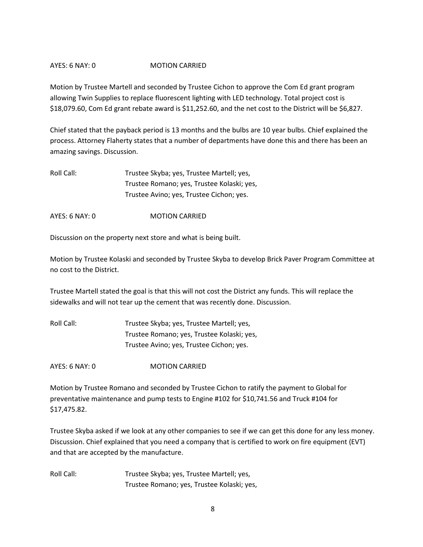Motion by Trustee Martell and seconded by Trustee Cichon to approve the Com Ed grant program allowing Twin Supplies to replace fluorescent lighting with LED technology. Total project cost is \$18,079.60, Com Ed grant rebate award is \$11,252.60, and the net cost to the District will be \$6,827.

Chief stated that the payback period is 13 months and the bulbs are 10 year bulbs. Chief explained the process. Attorney Flaherty states that a number of departments have done this and there has been an amazing savings. Discussion.

Roll Call: Trustee Skyba; yes, Trustee Martell; yes, Trustee Romano; yes, Trustee Kolaski; yes, Trustee Avino; yes, Trustee Cichon; yes.

AYES: 6 NAY: 0 MOTION CARRIED

Discussion on the property next store and what is being built.

Motion by Trustee Kolaski and seconded by Trustee Skyba to develop Brick Paver Program Committee at no cost to the District.

Trustee Martell stated the goal is that this will not cost the District any funds. This will replace the sidewalks and will not tear up the cement that was recently done. Discussion.

Roll Call: Trustee Skyba; yes, Trustee Martell; yes, Trustee Romano; yes, Trustee Kolaski; yes, Trustee Avino; yes, Trustee Cichon; yes.

AYES: 6 NAY: 0 MOTION CARRIED

Motion by Trustee Romano and seconded by Trustee Cichon to ratify the payment to Global for preventative maintenance and pump tests to Engine #102 for \$10,741.56 and Truck #104 for \$17,475.82.

Trustee Skyba asked if we look at any other companies to see if we can get this done for any less money. Discussion. Chief explained that you need a company that is certified to work on fire equipment (EVT) and that are accepted by the manufacture.

Roll Call: Trustee Skyba; yes, Trustee Martell; yes, Trustee Romano; yes, Trustee Kolaski; yes,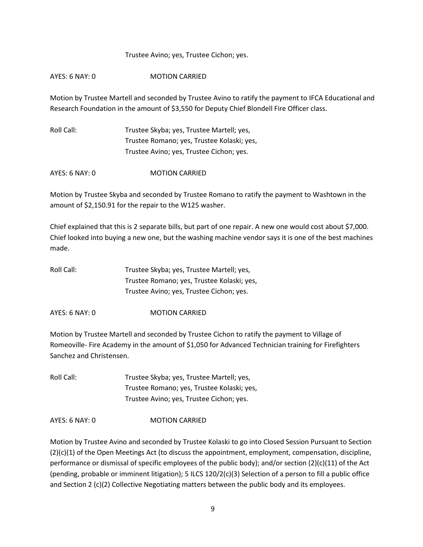#### Trustee Avino; yes, Trustee Cichon; yes.

## AYES: 6 NAY: 0 MOTION CARRIED

Motion by Trustee Martell and seconded by Trustee Avino to ratify the payment to IFCA Educational and Research Foundation in the amount of \$3,550 for Deputy Chief Blondell Fire Officer class.

| Roll Call: | Trustee Skyba; yes, Trustee Martell; yes,  |
|------------|--------------------------------------------|
|            | Trustee Romano; yes, Trustee Kolaski; yes, |
|            | Trustee Avino; yes, Trustee Cichon; yes.   |

AYES: 6 NAY: 0 MOTION CARRIED

Motion by Trustee Skyba and seconded by Trustee Romano to ratify the payment to Washtown in the amount of \$2,150.91 for the repair to the W125 washer.

Chief explained that this is 2 separate bills, but part of one repair. A new one would cost about \$7,000. Chief looked into buying a new one, but the washing machine vendor says it is one of the best machines made.

| Roll Call: | Trustee Skyba; yes, Trustee Martell; yes,  |
|------------|--------------------------------------------|
|            | Trustee Romano; yes, Trustee Kolaski; yes, |
|            | Trustee Avino; yes, Trustee Cichon; yes.   |

AYES: 6 NAY: 0 MOTION CARRIED

Motion by Trustee Martell and seconded by Trustee Cichon to ratify the payment to Village of Romeoville- Fire Academy in the amount of \$1,050 for Advanced Technician training for Firefighters Sanchez and Christensen.

Roll Call: Trustee Skyba; yes, Trustee Martell; yes, Trustee Romano; yes, Trustee Kolaski; yes, Trustee Avino; yes, Trustee Cichon; yes.

AYES: 6 NAY: 0 MOTION CARRIED

Motion by Trustee Avino and seconded by Trustee Kolaski to go into Closed Session Pursuant to Section (2)(c)(1) of the Open Meetings Act (to discuss the appointment, employment, compensation, discipline, performance or dismissal of specific employees of the public body); and/or section (2)(c)(11) of the Act (pending, probable or imminent litigation); 5 ILCS 120/2(c)(3) Selection of a person to fill a public office and Section 2 (c)(2) Collective Negotiating matters between the public body and its employees.